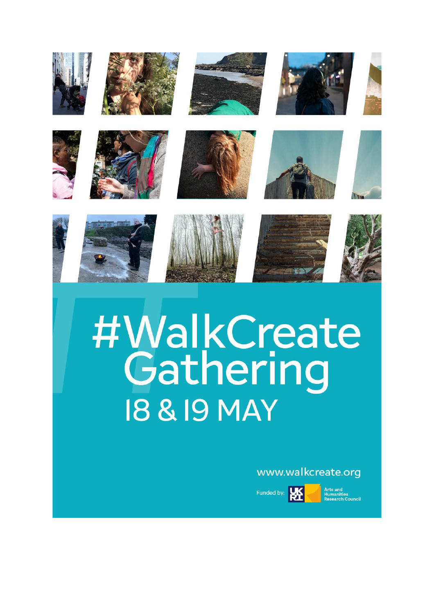

**18 & 19 MAY** 

# www.walkcreate.org

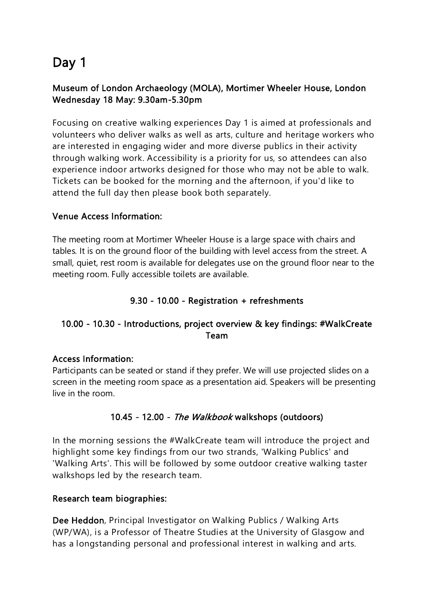# Day 1

## Museum of London Archaeology (MOLA), Mortimer Wheeler House, London Wednesday 18 May: 9.30am-5.30pm

Focusing on creative walking experiences Day 1 is aimed at professionals and volunteers who deliver walks as well as arts, culture and heritage workers who are interested in engaging wider and more diverse publics in their activity through walking work. Accessibility is a priority for us, so attendees can also experience indoor artworks designed for those who may not be able to walk. Tickets can be booked for the morning and the afternoon, if you'd like to attend the full day then please book both separately.

#### Venue Access Information:

The meeting room at Mortimer Wheeler House is a large space with chairs and tables. It is on the ground floor of the building with level access from the street. A small, quiet, rest room is available for delegates use on the ground floor near to the meeting room. Fully accessible toilets are available.

## 9.30 - 10.00 - Registration + refreshments

## 10.00 - 10.30 - Introductions, project overview & key findings: #WalkCreate Team

#### Access Information:

Participants can be seated or stand if they prefer. We will use projected slides on a screen in the meeting room space as a presentation aid. Speakers will be presenting live in the room.

#### 10.45 - 12.00 - The Walkbook walkshops (outdoors)

In the morning sessions the #WalkCreate team will introduce the project and highlight some key findings from our two strands, 'Walking Publics' and 'Walking Arts'. This will be followed by some outdoor creative walking taster walkshops led by the research team.

#### Research team biographies:

Dee Heddon, Principal Investigator on Walking Publics / Walking Arts (WP/WA), is a Professor of Theatre Studies at the University of Glasgow and has a longstanding personal and professional interest in walking and arts.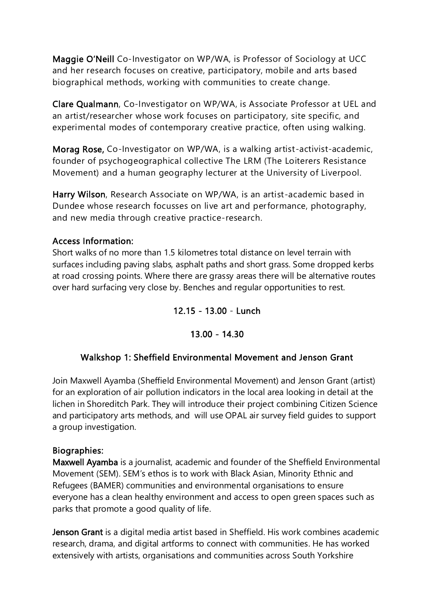Maggie O'Neill Co-Investigator on WP/WA, is Professor of Sociology at UCC and her research focuses on creative, participatory, mobile and arts based biographical methods, working with communities to create change.

Clare Qualmann, Co-Investigator on WP/WA, is Associate Professor at UEL and an artist/researcher whose work focuses on participatory, site specific, and experimental modes of contemporary creative practice, often using walking.

Morag Rose, Co-Investigator on WP/WA, is a walking artist-activist-academic, founder of psychogeographical collective The LRM (The Loiterers Resistance Movement) and a human geography lecturer at the University of Liverpool.

Harry Wilson, Research Associate on WP/WA, is an artist-academic based in Dundee whose research focusses on live art and performance, photography, and new media through creative practice-research.

#### Access Information:

Short walks of no more than 1.5 kilometres total distance on level terrain with surfaces including paving slabs, asphalt paths and short grass. Some dropped kerbs at road crossing points. Where there are grassy areas there will be alternative routes over hard surfacing very close by. Benches and regular opportunities to rest.

#### 12.15 - 13.00 - Lunch

#### 13.00 - 14.30

#### Walkshop 1: Sheffield Environmental Movement and Jenson Grant

Join Maxwell Ayamba (Sheffield Environmental Movement) and Jenson Grant (artist) for an exploration of air pollution indicators in the local area looking in detail at the lichen in Shoreditch Park. They will introduce their project combining Citizen Science and participatory arts methods, and will use OPAL air survey field guides to support a group investigation.

#### Biographies:

Maxwell Ayamba is a journalist, academic and founder of the Sheffield Environmental Movement (SEM). SEM's ethos is to work with Black Asian, Minority Ethnic and Refugees (BAMER) communities and environmental organisations to ensure everyone has a clean healthy environment and access to open green spaces such as parks that promote a good quality of life.

Jenson Grant is a digital media artist based in Sheffield. His work combines academic research, drama, and digital artforms to connect with communities. He has worked extensively with artists, organisations and communities across South Yorkshire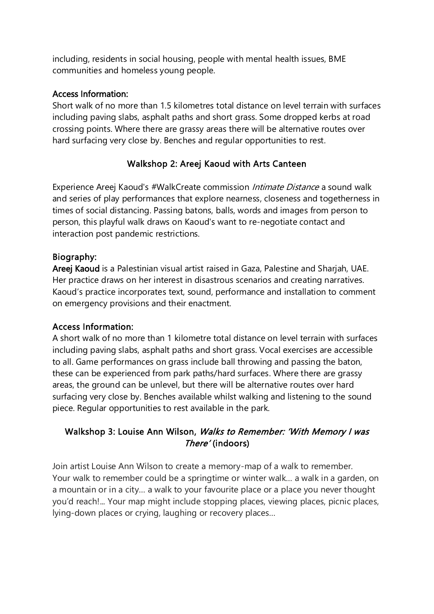including, residents in social housing, people with mental health issues, BME communities and homeless young people.

#### Access Information:

Short walk of no more than 1.5 kilometres total distance on level terrain with surfaces including paving slabs, asphalt paths and short grass. Some dropped kerbs at road crossing points. Where there are grassy areas there will be alternative routes over hard surfacing very close by. Benches and regular opportunities to rest.

# Walkshop 2: Areej Kaoud with Arts Canteen

Experience Areej Kaoud's #WalkCreate commission *Intimate Distance* a sound walk and series of play performances that explore nearness, closeness and togetherness in times of social distancing. Passing batons, balls, words and images from person to person, this playful walk draws on Kaoud's want to re-negotiate contact and interaction post pandemic restrictions.

#### Biography:

Areej Kaoud is a Palestinian visual artist raised in Gaza, Palestine and Sharjah, UAE. Her practice draws on her interest in disastrous scenarios and creating narratives. Kaoud's practice incorporates text, sound, performance and installation to comment on emergency provisions and their enactment.

#### Access Information:

A short walk of no more than 1 kilometre total distance on level terrain with surfaces including paving slabs, asphalt paths and short grass. Vocal exercises are accessible to all. Game performances on grass include ball throwing and passing the baton, these can be experienced from park paths/hard surfaces. Where there are grassy areas, the ground can be unlevel, but there will be alternative routes over hard surfacing very close by. Benches available whilst walking and listening to the sound piece. Regular opportunities to rest available in the park.

## Walkshop 3: Louise Ann Wilson, Walks to Remember: 'With Memory I was There' (indoors)

Join artist Louise Ann Wilson to create a memory-map of a walk to remember. Your walk to remember could be a springtime or winter walk… a walk in a garden, on a mountain or in a city… a walk to your favourite place or a place you never thought you'd reach!... Your map might include stopping places, viewing places, picnic places, lying-down places or crying, laughing or recovery places…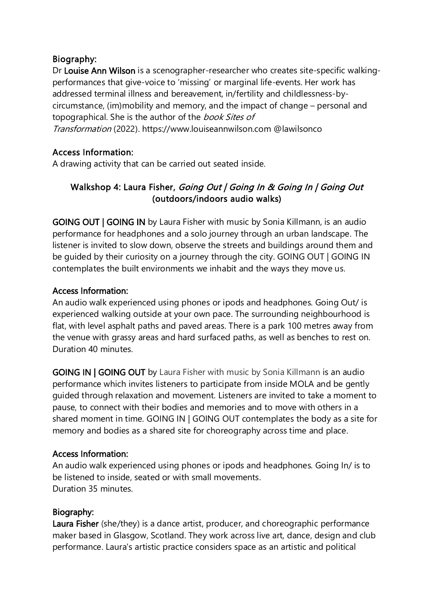#### Biography:

Dr Louise Ann Wilson is a scenographer-researcher who creates site-specific walkingperformances that give-voice to 'missing' or marginal life-events. Her work has addressed terminal illness and bereavement, in/fertility and childlessness-bycircumstance, (im)mobility and memory, and the impact of change – personal and topographical. She is the author of the book Sites of Transformation (2022). https://www.louiseannwilson.com @lawilsonco

## Access Information:

A drawing activity that can be carried out seated inside.

# Walkshop 4: Laura Fisher, Going Out | Going In & Going In | Going Out (outdoors/indoors audio walks)

GOING OUT | GOING IN by Laura Fisher with music by Sonia Killmann, is an audio performance for headphones and a solo journey through an urban landscape. The listener is invited to slow down, observe the streets and buildings around them and be guided by their curiosity on a journey through the city. GOING OUT | GOING IN contemplates the built environments we inhabit and the ways they move us.

#### Access Information:

An audio walk experienced using phones or ipods and headphones. Going Out/ is experienced walking outside at your own pace. The surrounding neighbourhood is flat, with level asphalt paths and paved areas. There is a park 100 metres away from the venue with grassy areas and hard surfaced paths, as well as benches to rest on. Duration 40 minutes.

GOING IN | GOING OUT by Laura Fisher with music by Sonia Killmann is an audio performance which invites listeners to participate from inside MOLA and be gently guided through relaxation and movement. Listeners are invited to take a moment to pause, to connect with their bodies and memories and to move with others in a shared moment in time. GOING IN | GOING OUT contemplates the body as a site for memory and bodies as a shared site for choreography across time and place.

#### Access Information:

An audio walk experienced using phones or ipods and headphones. Going In/ is to be listened to inside, seated or with small movements. Duration 35 minutes.

#### Biography:

Laura Fisher (she/they) is a dance artist, producer, and choreographic performance maker based in Glasgow, Scotland. They work across live art, dance, design and club performance. Laura's artistic practice considers space as an artistic and political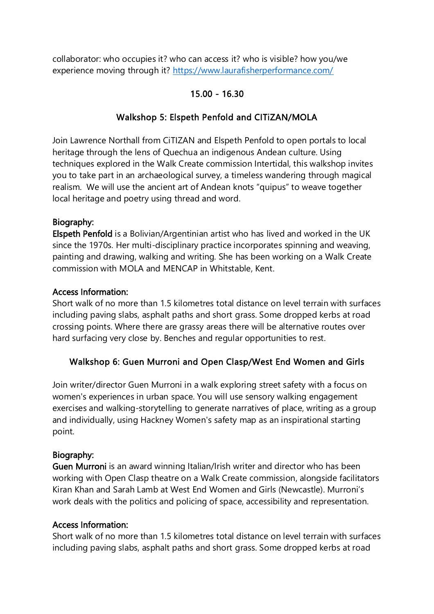collaborator: who occupies it? who can access it? who is visible? how you/we experience moving through it?<https://www.laurafisherperformance.com/>

## 15.00 - 16.30

## Walkshop 5: Elspeth Penfold and CITiZAN/MOLA

Join Lawrence Northall from CiTIZAN and Elspeth Penfold to open portals to local heritage through the lens of Quechua an indigenous Andean culture. Using techniques explored in the Walk Create commission Intertidal, this walkshop invites you to take part in an archaeological survey, a timeless wandering through magical realism. We will use the ancient art of Andean knots "quipus" to weave together local heritage and poetry using thread and word.

#### Biography:

Elspeth Penfold is a Bolivian/Argentinian artist who has lived and worked in the UK since the 1970s. Her multi-disciplinary practice incorporates spinning and weaving, painting and drawing, walking and writing. She has been working on a Walk Create commission with MOLA and MENCAP in Whitstable, Kent.

#### Access Information:

Short walk of no more than 1.5 kilometres total distance on level terrain with surfaces including paving slabs, asphalt paths and short grass. Some dropped kerbs at road crossing points. Where there are grassy areas there will be alternative routes over hard surfacing very close by. Benches and regular opportunities to rest.

#### Walkshop 6: Guen Murroni and Open Clasp/West End Women and Girls

Join writer/director Guen Murroni in a walk exploring street safety with a focus on women's experiences in urban space. You will use sensory walking engagement exercises and walking-storytelling to generate narratives of place, writing as a group and individually, using Hackney Women's safety map as an inspirational starting point.

#### Biography:

Guen Murroni is an award winning Italian/Irish writer and director who has been working with Open Clasp theatre on a Walk Create commission, alongside facilitators Kiran Khan and Sarah Lamb at West End Women and Girls (Newcastle). Murroni's work deals with the politics and policing of space, accessibility and representation.

#### Access Information:

Short walk of no more than 1.5 kilometres total distance on level terrain with surfaces including paving slabs, asphalt paths and short grass. Some dropped kerbs at road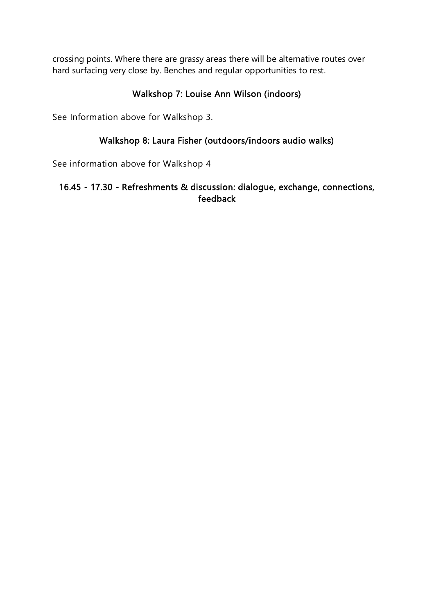crossing points. Where there are grassy areas there will be alternative routes over hard surfacing very close by. Benches and regular opportunities to rest.

# Walkshop 7: Louise Ann Wilson (indoors)

See Information above for Walkshop 3.

## Walkshop 8: Laura Fisher (outdoors/indoors audio walks)

See information above for Walkshop 4

#### 16.45 - 17.30 - Refreshments & discussion: dialogue, exchange, connections, feedback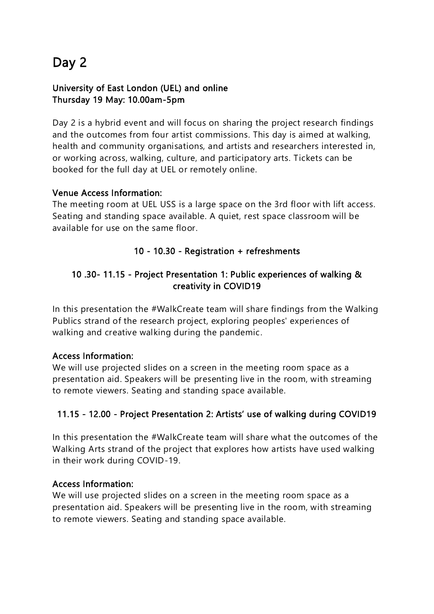# Day 2

## University of East London (UEL) and online Thursday 19 May: 10.00am-5pm

Day 2 is a hybrid event and will focus on sharing the project research findings and the outcomes from four artist commissions. This day is aimed at walking, health and community organisations, and artists and researchers interested in, or working across, walking, culture, and participatory arts. Tickets can be booked for the full day at UEL or remotely online.

#### Venue Access Information:

The meeting room at UEL USS is a large space on the 3rd floor with lift access. Seating and standing space available. A quiet, rest space classroom will be available for use on the same floor.

# 10 - 10.30 - Registration + refreshments

## 10 .30- 11.15 - Project Presentation 1: Public experiences of walking & creativity in COVID19

In this presentation the #WalkCreate team will share findings from the Walking Publics strand of the research project, exploring peoples' experiences of walking and creative walking during the pandemic.

# Access Information:

We will use projected slides on a screen in the meeting room space as a presentation aid. Speakers will be presenting live in the room, with streaming to remote viewers. Seating and standing space available.

# 11.15 - 12.00 - Project Presentation 2: Artists' use of walking during COVID19

In this presentation the #WalkCreate team will share what the outcomes of the Walking Arts strand of the project that explores how artists have used walking in their work during COVID-19.

#### Access Information:

We will use projected slides on a screen in the meeting room space as a presentation aid. Speakers will be presenting live in the room, with streaming to remote viewers. Seating and standing space available.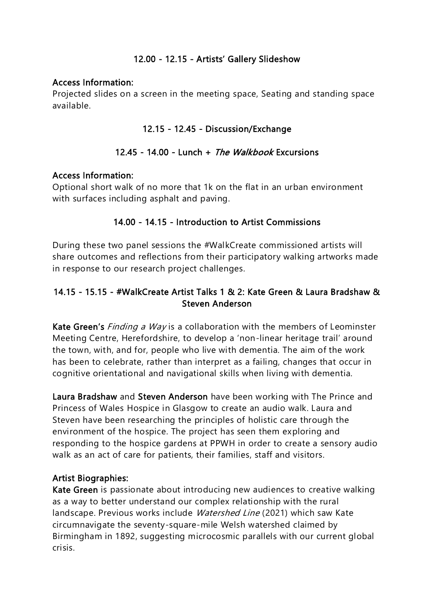#### 12.00 - 12.15 - Artists' Gallery Slideshow

#### Access Information:

Projected slides on a screen in the meeting space, Seating and standing space available.

#### 12.15 - 12.45 - Discussion/Exchange

#### 12.45 - 14.00 - Lunch + The Walkbook Excursions

#### Access Information:

Optional short walk of no more that 1k on the flat in an urban environment with surfaces including asphalt and paving.

## 14.00 - 14.15 - Introduction to Artist Commissions

During these two panel sessions the #WalkCreate commissioned artists will share outcomes and reflections from their participatory walking artworks made in response to our research project challenges.

## 14.15 - 15.15 - #WalkCreate Artist Talks 1 & 2: Kate Green & Laura Bradshaw & Steven Anderson

Kate Green's *Finding a Way* is a collaboration with the members of Leominster Meeting Centre, Herefordshire, to develop a 'non-linear heritage trail' around the town, with, and for, people who live with dementia. The aim of the work has been to celebrate, rather than interpret as a failing, changes that occur in cognitive orientational and navigational skills when living with dementia.

Laura Bradshaw and Steven Anderson have been working with The Prince and Princess of Wales Hospice in Glasgow to create an audio walk. Laura and Steven have been researching the principles of holistic care through the environment of the hospice. The project has seen them exploring and responding to the hospice gardens at PPWH in order to create a sensory audio walk as an act of care for patients, their families, staff and visitors.

#### Artist Biographies:

Kate Green is passionate about introducing new audiences to creative walking as a way to better understand our complex relationship with the rural landscape. Previous works include Watershed Line (2021) which saw Kate circumnavigate the seventy-square-mile Welsh watershed claimed by Birmingham in 1892, suggesting microcosmic parallels with our current global crisis.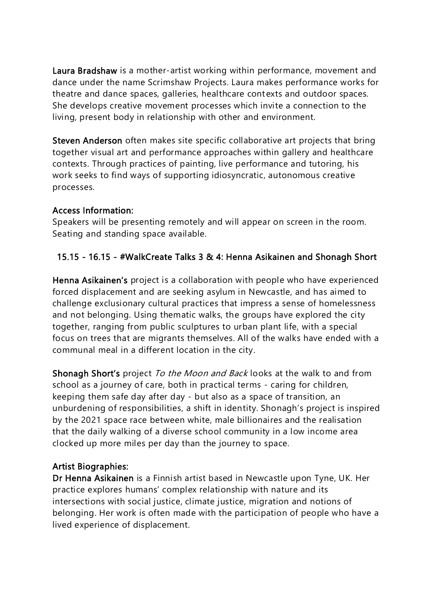Laura Bradshaw is a mother-artist working within performance, movement and dance under the name Scrimshaw Projects. Laura makes performance works for theatre and dance spaces, galleries, healthcare contexts and outdoor spaces. She develops creative movement processes which invite a connection to the living, present body in relationship with other and environment.

Steven Anderson often makes site specific collaborative art projects that bring together visual art and performance approaches within gallery and healthcare contexts. Through practices of painting, live performance and tutoring, his work seeks to find ways of supporting idiosyncratic, autonomous creative processes.

#### Access Information:

Speakers will be presenting remotely and will appear on screen in the room. Seating and standing space available.

#### 15.15 - 16.15 - #WalkCreate Talks 3 & 4: Henna Asikainen and Shonagh Short

Henna Asikainen's project is a collaboration with people who have experienced forced displacement and are seeking asylum in Newcastle, and has aimed to challenge exclusionary cultural practices that impress a sense of homelessness and not belonging. Using thematic walks, the groups have explored the city together, ranging from public sculptures to urban plant life, with a special focus on trees that are migrants themselves. All of the walks have ended with a communal meal in a different location in the city.

Shonagh Short's project To the Moon and Back looks at the walk to and from school as a journey of care, both in practical terms - caring for children, keeping them safe day after day - but also as a space of transition, an unburdening of responsibilities, a shift in identity. Shonagh's project is inspired by the 2021 space race between white, male billionaires and the realisation that the daily walking of a diverse school community in a low income area clocked up more miles per day than the journey to space.

#### Artist Biographies:

Dr Henna Asikainen is a Finnish artist based in Newcastle upon Tyne, UK. Her practice explores humans' complex relationship with nature and its intersections with social justice, climate justice, migration and notions of belonging. Her work is often made with the participation of people who have a lived experience of displacement.